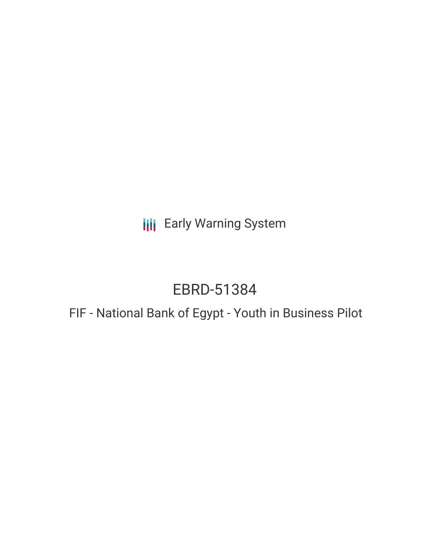**III** Early Warning System

# EBRD-51384

## FIF - National Bank of Egypt - Youth in Business Pilot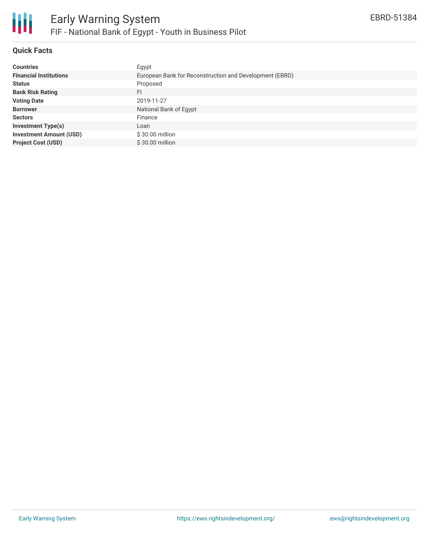

### **Quick Facts**

| <b>Countries</b>               | Egypt                                                   |
|--------------------------------|---------------------------------------------------------|
| <b>Financial Institutions</b>  | European Bank for Reconstruction and Development (EBRD) |
| <b>Status</b>                  | Proposed                                                |
| <b>Bank Risk Rating</b>        | FI                                                      |
| <b>Voting Date</b>             | 2019-11-27                                              |
| <b>Borrower</b>                | National Bank of Egypt                                  |
| <b>Sectors</b>                 | Finance                                                 |
| <b>Investment Type(s)</b>      | Loan                                                    |
| <b>Investment Amount (USD)</b> | \$30.00 million                                         |
| <b>Project Cost (USD)</b>      | \$30.00 million                                         |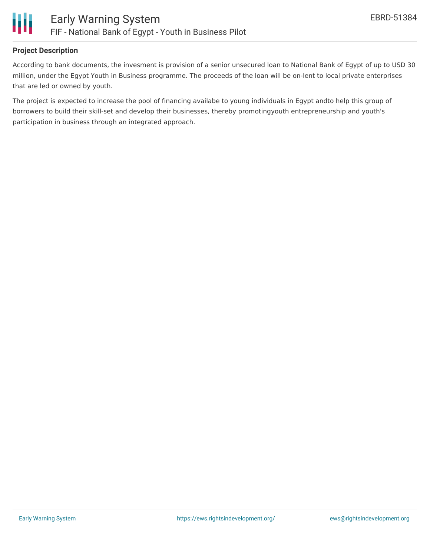

#### **Project Description**

According to bank documents, the invesment is provision of a senior unsecured loan to National Bank of Egypt of up to USD 30 million, under the Egypt Youth in Business programme. The proceeds of the loan will be on-lent to local private enterprises that are led or owned by youth.

The project is expected to increase the pool of financing availabe to young individuals in Egypt andto help this group of borrowers to build their skill-set and develop their businesses, thereby promotingyouth entrepreneurship and youth's participation in business through an integrated approach.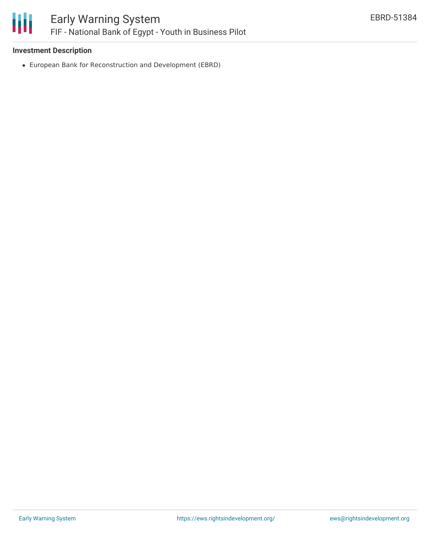

#### **Investment Description**

European Bank for Reconstruction and Development (EBRD)